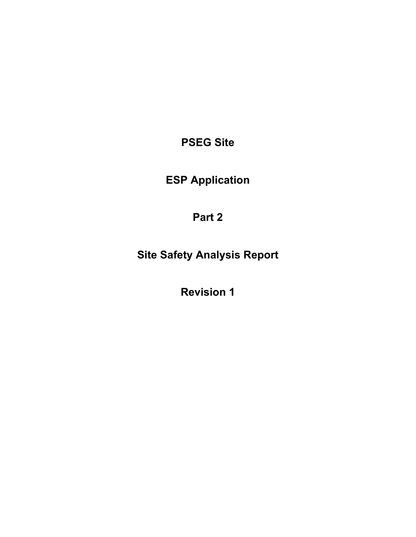**PSEG Site** 

**ESP Application** 

**Part 2** 

**Site Safety Analysis Report** 

**Revision 1**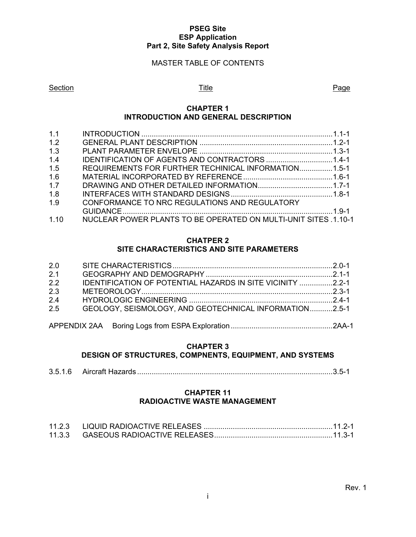#### **PSEG Site ESP Application Part 2, Site Safety Analysis Report**

### MASTER TABLE OF CONTENTS

#### Section **Example 2** Page 2 Page 3 Page 3 Page 3 Page 3 Page 3 Page 3 Page 3 Page 3 Page

#### **CHAPTER 1 INTRODUCTION AND GENERAL DESCRIPTION**

| 1.1  |                                                                 |  |
|------|-----------------------------------------------------------------|--|
| 1.2  |                                                                 |  |
| 1.3  |                                                                 |  |
| 1.4  |                                                                 |  |
| 1.5  | REQUIREMENTS FOR FURTHER TECHINICAL INFORMATION 1.5-1           |  |
| 1.6  |                                                                 |  |
| 1.7  |                                                                 |  |
| 1.8  |                                                                 |  |
| 1.9  | CONFORMANCE TO NRC REGULATIONS AND REGULATORY                   |  |
|      |                                                                 |  |
| 1.10 | NUCLEAR POWER PLANTS TO BE OPERATED ON MULTI-UNIT SITES .1.10-1 |  |

#### **CHATPER 2 SITE CHARACTERISTICS AND SITE PARAMETERS**

| 2.0 |                                                                   |  |
|-----|-------------------------------------------------------------------|--|
| 2.1 |                                                                   |  |
| 2.2 | <b>IDENTIFICATION OF POTENTIAL HAZARDS IN SITE VICINITY 2.2-1</b> |  |
| 2.3 |                                                                   |  |
| 2.4 |                                                                   |  |
| 2.5 | GEOLOGY, SEISMOLOGY, AND GEOTECHNICAL INFORMATION2.5-1            |  |
|     |                                                                   |  |
|     |                                                                   |  |

# **CHAPTER 3**

### **DESIGN OF STRUCTURES, COMPNENTS, EQUIPMENT, AND SYSTEMS**

| 3.5.1.6 |  |  |  |  |
|---------|--|--|--|--|
|---------|--|--|--|--|

#### **CHAPTER 11 RADIOACTIVE WASTE MANAGEMENT**